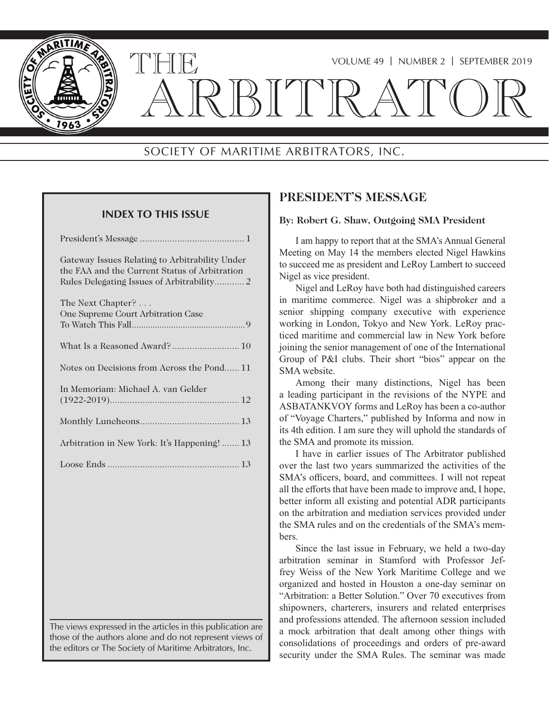

## VOLUME 49 | NUMBER 2 | SEPTEMBER 2019

# ARBITRATOR

# SOCIETY OF MARITIME ARBITRATORS, INC.

## **INDEX TO THIS ISSUE**

| Gateway Issues Relating to Arbitrability Under<br>the FAA and the Current Status of Arbitration |
|-------------------------------------------------------------------------------------------------|
| The Next Chapter?                                                                               |
| One Supreme Court Arbitration Case                                                              |
|                                                                                                 |
| What Is a Reasoned Award? 10                                                                    |
| Notes on Decisions from Across the Pond11                                                       |
| In Memoriam: Michael A. van Gelder                                                              |
|                                                                                                 |
|                                                                                                 |
| Arbitration in New York: It's Happening!  13                                                    |
|                                                                                                 |
|                                                                                                 |

The views expressed in the articles in this publication are those of the authors alone and do not represent views of the editors or The Society of Maritime Arbitrators, Inc.

## **PRESIDENT'S MESSAGE**

## **By: Robert G. Shaw, Outgoing SMA President**

I am happy to report that at the SMA's Annual General Meeting on May 14 the members elected Nigel Hawkins to succeed me as president and LeRoy Lambert to succeed Nigel as vice president.

Nigel and LeRoy have both had distinguished careers in maritime commerce. Nigel was a shipbroker and a senior shipping company executive with experience working in London, Tokyo and New York. LeRoy practiced maritime and commercial law in New York before joining the senior management of one of the International Group of P&I clubs. Their short "bios" appear on the SMA website.

Among their many distinctions, Nigel has been a leading participant in the revisions of the NYPE and ASBATANKVOY forms and LeRoy has been a co-author of "Voyage Charters," published by Informa and now in its 4th edition. I am sure they will uphold the standards of the SMA and promote its mission.

I have in earlier issues of The Arbitrator published over the last two years summarized the activities of the SMA's officers, board, and committees. I will not repeat all the efforts that have been made to improve and, I hope, better inform all existing and potential ADR participants on the arbitration and mediation services provided under the SMA rules and on the credentials of the SMA's members.

Since the last issue in February, we held a two-day arbitration seminar in Stamford with Professor Jeffrey Weiss of the New York Maritime College and we organized and hosted in Houston a one-day seminar on "Arbitration: a Better Solution." Over 70 executives from shipowners, charterers, insurers and related enterprises and professions attended. The afternoon session included a mock arbitration that dealt among other things with consolidations of proceedings and orders of pre-award security under the SMA Rules. The seminar was made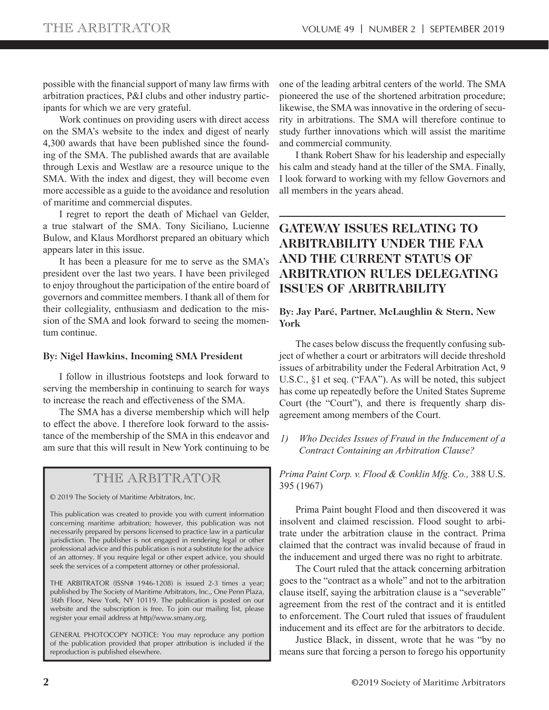possible with the financial support of many law firms with arbitration practices, P&I clubs and other industry participants for which we are very grateful.

Work continues on providing users with direct access on the SMA's website to the index and digest of nearly 4,300 awards that have been published since the founding of the SMA. The published awards that are available through Lexis and Westlaw are a resource unique to the SMA. With the index and digest, they will become even more accessible as a guide to the avoidance and resolution of maritime and commercial disputes.

I regret to report the death of Michael van Gelder, a true stalwart of the SMA. Tony Siciliano, Lucienne Bulow, and Klaus Mordhorst prepared an obituary which appears later in this issue.

It has been a pleasure for me to serve as the SMA's president over the last two years. I have been privileged to enjoy throughout the participation of the entire board of governors and committee members. I thank all of them for their collegiality, enthusiasm and dedication to the mission of the SMA and look forward to seeing the momentum continue.

#### **By: Nigel Hawkins, Incoming SMA President**

I follow in illustrious footsteps and look forward to serving the membership in continuing to search for ways to increase the reach and effectiveness of the SMA.

The SMA has a diverse membership which will help to effect the above. I therefore look forward to the assistance of the membership of the SMA in this endeavor and am sure that this will result in New York continuing to be

## THE ARBITRATOR

© 2019 The Society of Maritime Arbitrators, Inc.

This publication was created to provide you with current information concerning maritime arbitration; however, this publication was not necessarily prepared by persons licensed to practice law in a particular jurisdiction. The publisher is not engaged in rendering legal or other professional advice and this publication is not a substitute for the advice of an attorney. If you require legal or other expert advice, you should seek the services of a competent attorney or other professional.

THE ARBITRATOR (ISSN# 1946-1208) is issued 2-3 times a year; published by The Society of Maritime Arbitrators, Inc., One Penn Plaza, 36th Floor, New York, NY 10119. The publication is posted on our website and the subscription is free. To join our mailing list, please register your email address at http//www.smany.org.

GENERAL PHOTOCOPY NOTICE: You may reproduce any portion of the publication provided that proper attribution is included if the reproduction is published elsewhere.

one of the leading arbitral centers of the world. The SMA pioneered the use of the shortened arbitration procedure; likewise, the SMA was innovative in the ordering of security in arbitrations. The SMA will therefore continue to study further innovations which will assist the maritime and commercial community.

I thank Robert Shaw for his leadership and especially his calm and steady hand at the tiller of the SMA. Finally, I look forward to working with my fellow Governors and all members in the years ahead.

# **GATEWAY ISSUES RELATING TO ARBITRABILITY UNDER THE FAA AND THE CURRENT STATUS OF ARBITRATION RULES DELEGATING ISSUES OF ARBITRABILITY**

## **By: Jay Paré, Partner, McLaughlin & Stern, New York**

The cases below discuss the frequently confusing subject of whether a court or arbitrators will decide threshold issues of arbitrability under the Federal Arbitration Act, 9 U.S.C., §1 et seq. ("FAA"). As will be noted, this subject has come up repeatedly before the United States Supreme Court (the "Court"), and there is frequently sharp disagreement among members of the Court.

*1) Who Decides Issues of Fraud in the Inducement of a Contract Containing an Arbitration Clause?*

*Prima Paint Corp. v. Flood & Conklin Mfg. Co.,* 388 U.S. 395 (1967)

Prima Paint bought Flood and then discovered it was insolvent and claimed rescission. Flood sought to arbitrate under the arbitration clause in the contract. Prima claimed that the contract was invalid because of fraud in the inducement and urged there was no right to arbitrate.

The Court ruled that the attack concerning arbitration goes to the "contract as a whole" and not to the arbitration clause itself, saying the arbitration clause is a "severable" agreement from the rest of the contract and it is entitled to enforcement. The Court ruled that issues of fraudulent inducement and its effect are for the arbitrators to decide.

Justice Black, in dissent, wrote that he was "by no means sure that forcing a person to forego his opportunity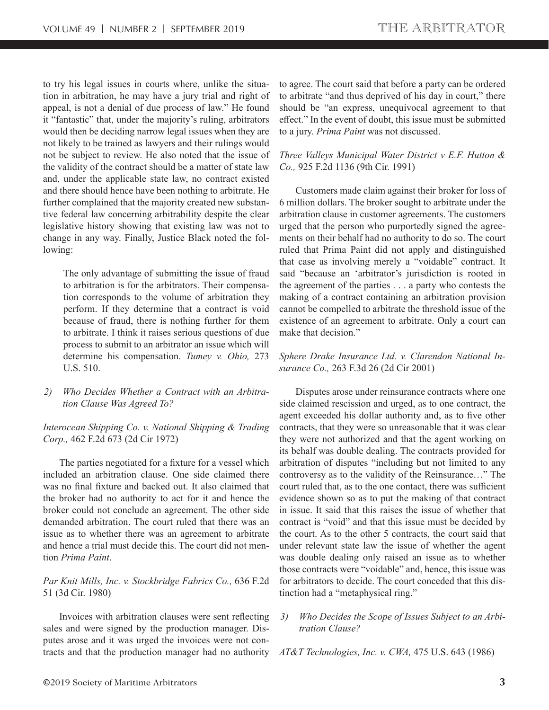to try his legal issues in courts where, unlike the situation in arbitration, he may have a jury trial and right of appeal, is not a denial of due process of law." He found it "fantastic" that, under the majority's ruling, arbitrators would then be deciding narrow legal issues when they are not likely to be trained as lawyers and their rulings would not be subject to review. He also noted that the issue of the validity of the contract should be a matter of state law and, under the applicable state law, no contract existed and there should hence have been nothing to arbitrate. He further complained that the majority created new substantive federal law concerning arbitrability despite the clear legislative history showing that existing law was not to change in any way. Finally, Justice Black noted the following:

The only advantage of submitting the issue of fraud to arbitration is for the arbitrators. Their compensation corresponds to the volume of arbitration they perform. If they determine that a contract is void because of fraud, there is nothing further for them to arbitrate. I think it raises serious questions of due process to submit to an arbitrator an issue which will determine his compensation. *Tumey v. Ohio,* 273 U.S. 510.

*2) Who Decides Whether a Contract with an Arbitration Clause Was Agreed To?*

*Interocean Shipping Co. v. National Shipping & Trading Corp.,* 462 F.2d 673 (2d Cir 1972)

The parties negotiated for a fixture for a vessel which included an arbitration clause. One side claimed there was no final fixture and backed out. It also claimed that the broker had no authority to act for it and hence the broker could not conclude an agreement. The other side demanded arbitration. The court ruled that there was an issue as to whether there was an agreement to arbitrate and hence a trial must decide this. The court did not mention *Prima Paint*.

## *Par Knit Mills, Inc. v. Stockbridge Fabrics Co.,* 636 F.2d 51 (3d Cir. 1980)

Invoices with arbitration clauses were sent reflecting sales and were signed by the production manager. Disputes arose and it was urged the invoices were not contracts and that the production manager had no authority to agree. The court said that before a party can be ordered to arbitrate "and thus deprived of his day in court," there should be "an express, unequivocal agreement to that effect." In the event of doubt, this issue must be submitted to a jury. *Prima Paint* was not discussed.

## *Three Valleys Municipal Water District v E.F. Hutton & Co.,* 925 F.2d 1136 (9th Cir. 1991)

Customers made claim against their broker for loss of 6 million dollars. The broker sought to arbitrate under the arbitration clause in customer agreements. The customers urged that the person who purportedly signed the agreements on their behalf had no authority to do so. The court ruled that Prima Paint did not apply and distinguished that case as involving merely a "voidable" contract. It said "because an 'arbitrator's jurisdiction is rooted in the agreement of the parties . . . a party who contests the making of a contract containing an arbitration provision cannot be compelled to arbitrate the threshold issue of the existence of an agreement to arbitrate. Only a court can make that decision."

## *Sphere Drake Insurance Ltd. v. Clarendon National Insurance Co.,* 263 F.3d 26 (2d Cir 2001)

Disputes arose under reinsurance contracts where one side claimed rescission and urged, as to one contract, the agent exceeded his dollar authority and, as to five other contracts, that they were so unreasonable that it was clear they were not authorized and that the agent working on its behalf was double dealing. The contracts provided for arbitration of disputes "including but not limited to any controversy as to the validity of the Reinsurance…" The court ruled that, as to the one contact, there was sufficient evidence shown so as to put the making of that contract in issue. It said that this raises the issue of whether that contract is "void" and that this issue must be decided by the court. As to the other 5 contracts, the court said that under relevant state law the issue of whether the agent was double dealing only raised an issue as to whether those contracts were "voidable" and, hence, this issue was for arbitrators to decide. The court conceded that this distinction had a "metaphysical ring."

#### *3) Who Decides the Scope of Issues Subject to an Arbitration Clause?*

*AT&T Technologies, Inc. v. CWA,* 475 U.S. 643 (1986)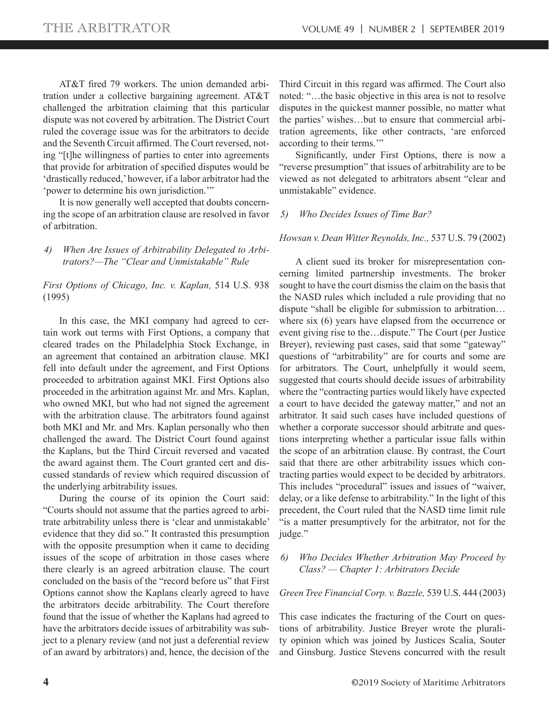AT&T fired 79 workers. The union demanded arbitration under a collective bargaining agreement. AT&T challenged the arbitration claiming that this particular dispute was not covered by arbitration. The District Court ruled the coverage issue was for the arbitrators to decide and the Seventh Circuit affirmed. The Court reversed, noting "[t]he willingness of parties to enter into agreements that provide for arbitration of specified disputes would be 'drastically reduced,' however, if a labor arbitrator had the 'power to determine his own jurisdiction.'"

It is now generally well accepted that doubts concerning the scope of an arbitration clause are resolved in favor of arbitration.

*4) When Are Issues of Arbitrability Delegated to Arbitrators?—The "Clear and Unmistakable" Rule*

*First Options of Chicago, Inc. v. Kaplan,* 514 U.S. 938 (1995)

In this case, the MKI company had agreed to certain work out terms with First Options, a company that cleared trades on the Philadelphia Stock Exchange, in an agreement that contained an arbitration clause. MKI fell into default under the agreement, and First Options proceeded to arbitration against MKI. First Options also proceeded in the arbitration against Mr. and Mrs. Kaplan, who owned MKI, but who had not signed the agreement with the arbitration clause. The arbitrators found against both MKI and Mr. and Mrs. Kaplan personally who then challenged the award. The District Court found against the Kaplans, but the Third Circuit reversed and vacated the award against them. The Court granted cert and discussed standards of review which required discussion of the underlying arbitrability issues.

During the course of its opinion the Court said: "Courts should not assume that the parties agreed to arbitrate arbitrability unless there is 'clear and unmistakable' evidence that they did so." It contrasted this presumption with the opposite presumption when it came to deciding issues of the scope of arbitration in those cases where there clearly is an agreed arbitration clause. The court concluded on the basis of the "record before us" that First Options cannot show the Kaplans clearly agreed to have the arbitrators decide arbitrability. The Court therefore found that the issue of whether the Kaplans had agreed to have the arbitrators decide issues of arbitrability was subject to a plenary review (and not just a deferential review of an award by arbitrators) and, hence, the decision of the

Third Circuit in this regard was affirmed. The Court also noted: "…the basic objective in this area is not to resolve disputes in the quickest manner possible, no matter what the parties' wishes…but to ensure that commercial arbitration agreements, like other contracts, 'are enforced according to their terms.'"

Significantly, under First Options, there is now a "reverse presumption" that issues of arbitrability are to be viewed as not delegated to arbitrators absent "clear and unmistakable" evidence.

#### *5) Who Decides Issues of Time Bar?*

#### *Howsan v. Dean Witter Reynolds, Inc.,* 537 U.S. 79 (2002)

A client sued its broker for misrepresentation concerning limited partnership investments. The broker sought to have the court dismiss the claim on the basis that the NASD rules which included a rule providing that no dispute "shall be eligible for submission to arbitration… where six (6) years have elapsed from the occurrence or event giving rise to the…dispute." The Court (per Justice Breyer), reviewing past cases, said that some "gateway" questions of "arbitrability" are for courts and some are for arbitrators. The Court, unhelpfully it would seem, suggested that courts should decide issues of arbitrability where the "contracting parties would likely have expected a court to have decided the gateway matter," and not an arbitrator. It said such cases have included questions of whether a corporate successor should arbitrate and questions interpreting whether a particular issue falls within the scope of an arbitration clause. By contrast, the Court said that there are other arbitrability issues which contracting parties would expect to be decided by arbitrators. This includes "procedural" issues and issues of "waiver, delay, or a like defense to arbitrability." In the light of this precedent, the Court ruled that the NASD time limit rule "is a matter presumptively for the arbitrator, not for the judge."

## *6) Who Decides Whether Arbitration May Proceed by Class? — Chapter 1: Arbitrators Decide*

#### *Green Tree Financial Corp. v. Bazzle,* 539 U.S. 444 (2003)

This case indicates the fracturing of the Court on questions of arbitrability. Justice Breyer wrote the plurality opinion which was joined by Justices Scalia, Souter and Ginsburg. Justice Stevens concurred with the result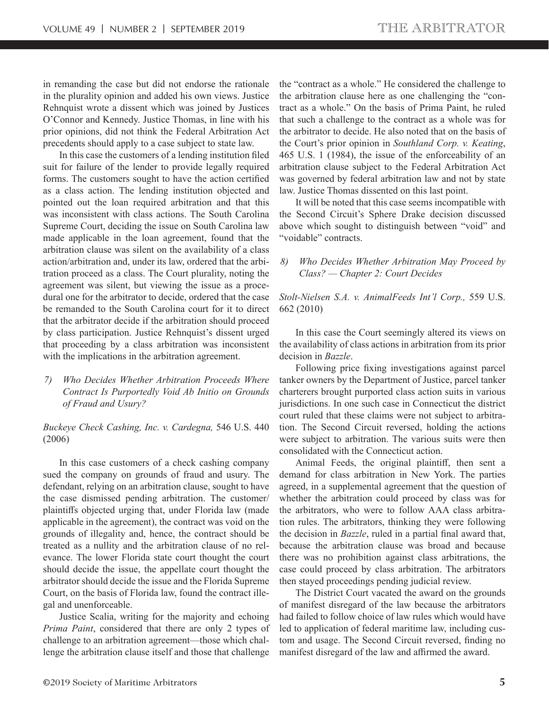in remanding the case but did not endorse the rationale in the plurality opinion and added his own views. Justice Rehnquist wrote a dissent which was joined by Justices O'Connor and Kennedy. Justice Thomas, in line with his prior opinions, did not think the Federal Arbitration Act precedents should apply to a case subject to state law.

In this case the customers of a lending institution filed suit for failure of the lender to provide legally required forms. The customers sought to have the action certified as a class action. The lending institution objected and pointed out the loan required arbitration and that this was inconsistent with class actions. The South Carolina Supreme Court, deciding the issue on South Carolina law made applicable in the loan agreement, found that the arbitration clause was silent on the availability of a class action/arbitration and, under its law, ordered that the arbitration proceed as a class. The Court plurality, noting the agreement was silent, but viewing the issue as a procedural one for the arbitrator to decide, ordered that the case be remanded to the South Carolina court for it to direct that the arbitrator decide if the arbitration should proceed by class participation. Justice Rehnquist's dissent urged that proceeding by a class arbitration was inconsistent with the implications in the arbitration agreement.

*7) Who Decides Whether Arbitration Proceeds Where Contract Is Purportedly Void Ab Initio on Grounds of Fraud and Usury?*

*Buckeye Check Cashing, Inc. v. Cardegna,* 546 U.S. 440 (2006)

In this case customers of a check cashing company sued the company on grounds of fraud and usury. The defendant, relying on an arbitration clause, sought to have the case dismissed pending arbitration. The customer/ plaintiffs objected urging that, under Florida law (made applicable in the agreement), the contract was void on the grounds of illegality and, hence, the contract should be treated as a nullity and the arbitration clause of no relevance. The lower Florida state court thought the court should decide the issue, the appellate court thought the arbitrator should decide the issue and the Florida Supreme Court, on the basis of Florida law, found the contract illegal and unenforceable.

Justice Scalia, writing for the majority and echoing *Prima Paint*, considered that there are only 2 types of challenge to an arbitration agreement—those which challenge the arbitration clause itself and those that challenge the "contract as a whole." He considered the challenge to the arbitration clause here as one challenging the "contract as a whole." On the basis of Prima Paint, he ruled that such a challenge to the contract as a whole was for the arbitrator to decide. He also noted that on the basis of the Court's prior opinion in *Southland Corp. v. Keating*, 465 U.S. 1 (1984), the issue of the enforceability of an arbitration clause subject to the Federal Arbitration Act was governed by federal arbitration law and not by state law. Justice Thomas dissented on this last point.

It will be noted that this case seems incompatible with the Second Circuit's Sphere Drake decision discussed above which sought to distinguish between "void" and "voidable" contracts.

### *8) Who Decides Whether Arbitration May Proceed by Class? — Chapter 2: Court Decides*

*Stolt-Nielsen S.A. v. AnimalFeeds Int'l Corp.,* 559 U.S. 662 (2010)

In this case the Court seemingly altered its views on the availability of class actions in arbitration from its prior decision in *Bazzle*.

Following price fixing investigations against parcel tanker owners by the Department of Justice, parcel tanker charterers brought purported class action suits in various jurisdictions. In one such case in Connecticut the district court ruled that these claims were not subject to arbitration. The Second Circuit reversed, holding the actions were subject to arbitration. The various suits were then consolidated with the Connecticut action.

Animal Feeds, the original plaintiff, then sent a demand for class arbitration in New York. The parties agreed, in a supplemental agreement that the question of whether the arbitration could proceed by class was for the arbitrators, who were to follow AAA class arbitration rules. The arbitrators, thinking they were following the decision in *Bazzle*, ruled in a partial final award that, because the arbitration clause was broad and because there was no prohibition against class arbitrations, the case could proceed by class arbitration. The arbitrators then stayed proceedings pending judicial review.

The District Court vacated the award on the grounds of manifest disregard of the law because the arbitrators had failed to follow choice of law rules which would have led to application of federal maritime law, including custom and usage. The Second Circuit reversed, finding no manifest disregard of the law and affirmed the award.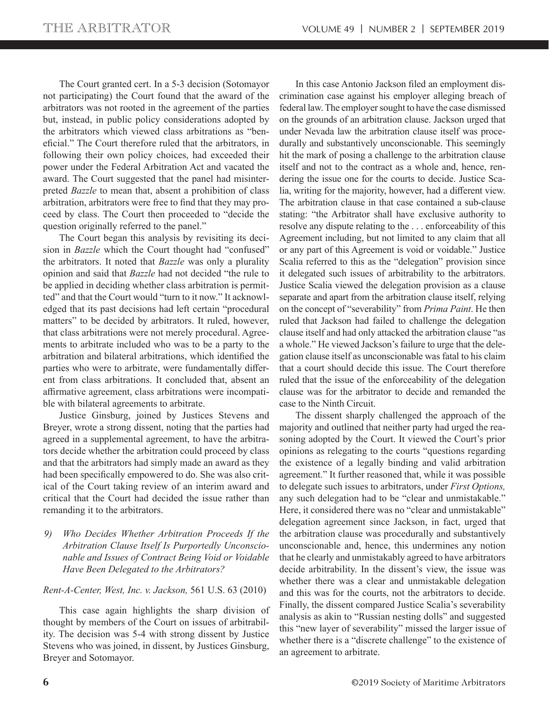The Court granted cert. In a 5-3 decision (Sotomayor not participating) the Court found that the award of the arbitrators was not rooted in the agreement of the parties but, instead, in public policy considerations adopted by the arbitrators which viewed class arbitrations as "beneficial." The Court therefore ruled that the arbitrators, in following their own policy choices, had exceeded their power under the Federal Arbitration Act and vacated the award. The Court suggested that the panel had misinterpreted *Bazzle* to mean that, absent a prohibition of class arbitration, arbitrators were free to find that they may proceed by class. The Court then proceeded to "decide the question originally referred to the panel."

The Court began this analysis by revisiting its decision in *Bazzle* which the Court thought had "confused" the arbitrators. It noted that *Bazzle* was only a plurality opinion and said that *Bazzle* had not decided "the rule to be applied in deciding whether class arbitration is permitted" and that the Court would "turn to it now." It acknowledged that its past decisions had left certain "procedural matters" to be decided by arbitrators. It ruled, however, that class arbitrations were not merely procedural. Agreements to arbitrate included who was to be a party to the arbitration and bilateral arbitrations, which identified the parties who were to arbitrate, were fundamentally different from class arbitrations. It concluded that, absent an affirmative agreement, class arbitrations were incompatible with bilateral agreements to arbitrate.

Justice Ginsburg, joined by Justices Stevens and Breyer, wrote a strong dissent, noting that the parties had agreed in a supplemental agreement, to have the arbitrators decide whether the arbitration could proceed by class and that the arbitrators had simply made an award as they had been specifically empowered to do. She was also critical of the Court taking review of an interim award and critical that the Court had decided the issue rather than remanding it to the arbitrators.

*9) Who Decides Whether Arbitration Proceeds If the Arbitration Clause Itself Is Purportedly Unconscionable and Issues of Contract Being Void or Voidable Have Been Delegated to the Arbitrators?*

*Rent-A-Center, West, Inc. v. Jackson,* 561 U.S. 63 (2010)

This case again highlights the sharp division of thought by members of the Court on issues of arbitrability. The decision was 5-4 with strong dissent by Justice Stevens who was joined, in dissent, by Justices Ginsburg, Breyer and Sotomayor.

In this case Antonio Jackson filed an employment discrimination case against his employer alleging breach of federal law. The employer sought to have the case dismissed on the grounds of an arbitration clause. Jackson urged that under Nevada law the arbitration clause itself was procedurally and substantively unconscionable. This seemingly hit the mark of posing a challenge to the arbitration clause itself and not to the contract as a whole and, hence, rendering the issue one for the courts to decide. Justice Scalia, writing for the majority, however, had a different view. The arbitration clause in that case contained a sub-clause stating: "the Arbitrator shall have exclusive authority to resolve any dispute relating to the . . . enforceability of this Agreement including, but not limited to any claim that all or any part of this Agreement is void or voidable." Justice Scalia referred to this as the "delegation" provision since it delegated such issues of arbitrability to the arbitrators. Justice Scalia viewed the delegation provision as a clause separate and apart from the arbitration clause itself, relying on the concept of "severability" from *Prima Paint*. He then ruled that Jackson had failed to challenge the delegation clause itself and had only attacked the arbitration clause "as a whole." He viewed Jackson's failure to urge that the delegation clause itself as unconscionable was fatal to his claim that a court should decide this issue. The Court therefore ruled that the issue of the enforceability of the delegation clause was for the arbitrator to decide and remanded the case to the Ninth Circuit.

The dissent sharply challenged the approach of the majority and outlined that neither party had urged the reasoning adopted by the Court. It viewed the Court's prior opinions as relegating to the courts "questions regarding the existence of a legally binding and valid arbitration agreement." It further reasoned that, while it was possible to delegate such issues to arbitrators, under *First Options,*  any such delegation had to be "clear and unmistakable." Here, it considered there was no "clear and unmistakable" delegation agreement since Jackson, in fact, urged that the arbitration clause was procedurally and substantively unconscionable and, hence, this undermines any notion that he clearly and unmistakably agreed to have arbitrators decide arbitrability. In the dissent's view, the issue was whether there was a clear and unmistakable delegation and this was for the courts, not the arbitrators to decide. Finally, the dissent compared Justice Scalia's severability analysis as akin to "Russian nesting dolls" and suggested this "new layer of severability" missed the larger issue of whether there is a "discrete challenge" to the existence of an agreement to arbitrate.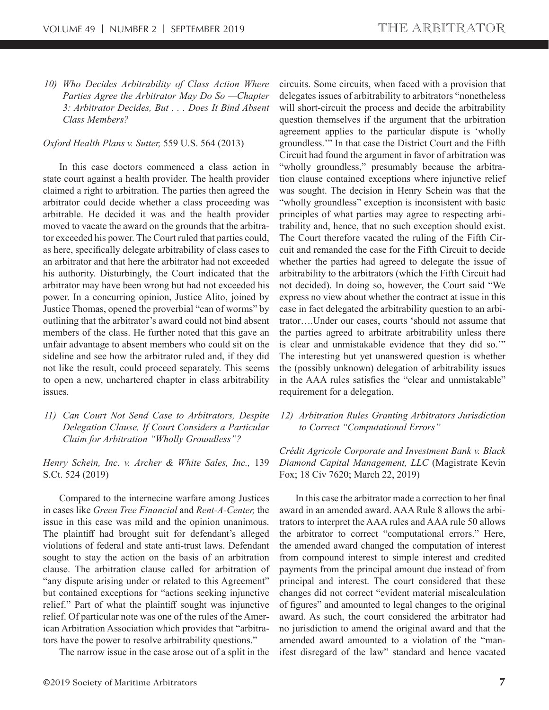*10) Who Decides Arbitrability of Class Action Where Parties Agree the Arbitrator May Do So —Chapter 3: Arbitrator Decides, But . . . Does It Bind Absent Class Members?*

#### *Oxford Health Plans v. Sutter,* 559 U.S. 564 (2013)

In this case doctors commenced a class action in state court against a health provider. The health provider claimed a right to arbitration. The parties then agreed the arbitrator could decide whether a class proceeding was arbitrable. He decided it was and the health provider moved to vacate the award on the grounds that the arbitrator exceeded his power. The Court ruled that parties could, as here, specifically delegate arbitrability of class cases to an arbitrator and that here the arbitrator had not exceeded his authority. Disturbingly, the Court indicated that the arbitrator may have been wrong but had not exceeded his power. In a concurring opinion, Justice Alito, joined by Justice Thomas, opened the proverbial "can of worms" by outlining that the arbitrator's award could not bind absent members of the class. He further noted that this gave an unfair advantage to absent members who could sit on the sideline and see how the arbitrator ruled and, if they did not like the result, could proceed separately. This seems to open a new, unchartered chapter in class arbitrability issues.

*11) Can Court Not Send Case to Arbitrators, Despite Delegation Clause, If Court Considers a Particular Claim for Arbitration "Wholly Groundless"?*

*Henry Schein, Inc. v. Archer & White Sales, Inc.,* 139 S.Ct. 524 (2019)

Compared to the internecine warfare among Justices in cases like *Green Tree Financial* and *Rent-A-Center,* the issue in this case was mild and the opinion unanimous. The plaintiff had brought suit for defendant's alleged violations of federal and state anti-trust laws. Defendant sought to stay the action on the basis of an arbitration clause. The arbitration clause called for arbitration of "any dispute arising under or related to this Agreement" but contained exceptions for "actions seeking injunctive relief." Part of what the plaintiff sought was injunctive relief. Of particular note was one of the rules of the American Arbitration Association which provides that "arbitrators have the power to resolve arbitrability questions."

The narrow issue in the case arose out of a split in the

circuits. Some circuits, when faced with a provision that delegates issues of arbitrability to arbitrators "nonetheless will short-circuit the process and decide the arbitrability question themselves if the argument that the arbitration agreement applies to the particular dispute is 'wholly groundless.'" In that case the District Court and the Fifth Circuit had found the argument in favor of arbitration was "wholly groundless," presumably because the arbitration clause contained exceptions where injunctive relief was sought. The decision in Henry Schein was that the "wholly groundless" exception is inconsistent with basic principles of what parties may agree to respecting arbitrability and, hence, that no such exception should exist. The Court therefore vacated the ruling of the Fifth Circuit and remanded the case for the Fifth Circuit to decide whether the parties had agreed to delegate the issue of arbitrability to the arbitrators (which the Fifth Circuit had not decided). In doing so, however, the Court said "We express no view about whether the contract at issue in this case in fact delegated the arbitrability question to an arbitrator….Under our cases, courts 'should not assume that the parties agreed to arbitrate arbitrability unless there is clear and unmistakable evidence that they did so.'" The interesting but yet unanswered question is whether the (possibly unknown) delegation of arbitrability issues in the AAA rules satisfies the "clear and unmistakable" requirement for a delegation.

*12) Arbitration Rules Granting Arbitrators Jurisdiction to Correct "Computational Errors"*

*Crédit Agricole Corporate and Investment Bank v. Black Diamond Capital Management, LLC* (Magistrate Kevin Fox; 18 Civ 7620; March 22, 2019)

In this case the arbitrator made a correction to her final award in an amended award. AAA Rule 8 allows the arbitrators to interpret the AAA rules and AAA rule 50 allows the arbitrator to correct "computational errors." Here, the amended award changed the computation of interest from compound interest to simple interest and credited payments from the principal amount due instead of from principal and interest. The court considered that these changes did not correct "evident material miscalculation of figures" and amounted to legal changes to the original award. As such, the court considered the arbitrator had no jurisdiction to amend the original award and that the amended award amounted to a violation of the "manifest disregard of the law" standard and hence vacated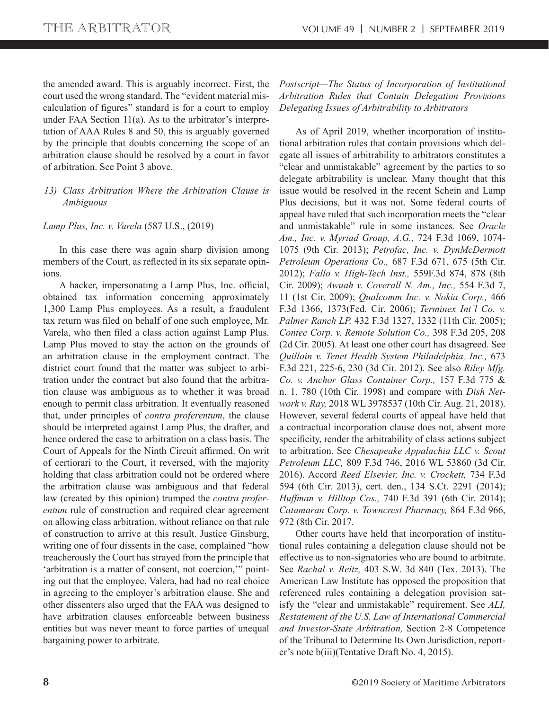the amended award. This is arguably incorrect. First, the court used the wrong standard. The "evident material miscalculation of figures" standard is for a court to employ under FAA Section 11(a). As to the arbitrator's interpretation of AAA Rules 8 and 50, this is arguably governed by the principle that doubts concerning the scope of an arbitration clause should be resolved by a court in favor of arbitration. See Point 3 above.

## *13) Class Arbitration Where the Arbitration Clause is Ambiguous*

#### *Lamp Plus, Inc. v. Varela* (587 U.S., (2019)

In this case there was again sharp division among members of the Court, as reflected in its six separate opinions.

A hacker, impersonating a Lamp Plus, Inc. official, obtained tax information concerning approximately 1,300 Lamp Plus employees. As a result, a fraudulent tax return was filed on behalf of one such employee, Mr. Varela, who then filed a class action against Lamp Plus. Lamp Plus moved to stay the action on the grounds of an arbitration clause in the employment contract. The district court found that the matter was subject to arbitration under the contract but also found that the arbitration clause was ambiguous as to whether it was broad enough to permit class arbitration. It eventually reasoned that, under principles of *contra proferentum*, the clause should be interpreted against Lamp Plus, the drafter, and hence ordered the case to arbitration on a class basis. The Court of Appeals for the Ninth Circuit affirmed. On writ of certiorari to the Court, it reversed, with the majority holding that class arbitration could not be ordered where the arbitration clause was ambiguous and that federal law (created by this opinion) trumped the *contra proferentum* rule of construction and required clear agreement on allowing class arbitration, without reliance on that rule of construction to arrive at this result. Justice Ginsburg, writing one of four dissents in the case, complained "how treacherously the Court has strayed from the principle that 'arbitration is a matter of consent, not coercion,'" pointing out that the employee, Valera, had had no real choice in agreeing to the employer's arbitration clause. She and other dissenters also urged that the FAA was designed to have arbitration clauses enforceable between business entities but was never meant to force parties of unequal bargaining power to arbitrate.

## *Postscript—The Status of Incorporation of Institutional Arbitration Rules that Contain Delegation Provisions Delegating Issues of Arbitrability to Arbitrators*

As of April 2019, whether incorporation of institutional arbitration rules that contain provisions which delegate all issues of arbitrability to arbitrators constitutes a "clear and unmistakable" agreement by the parties to so delegate arbitrability is unclear. Many thought that this issue would be resolved in the recent Schein and Lamp Plus decisions, but it was not. Some federal courts of appeal have ruled that such incorporation meets the "clear and unmistakable" rule in some instances. See *Oracle Am., Inc. v. Myriad Group, A.G.,* 724 F.3d 1069, 1074- 1075 (9th Cir. 2013); *Petrofac, Inc. v. DynMcDermott Petroleum Operations Co.,* 687 F.3d 671, 675 (5th Cir. 2012); *Fallo v. High-Tech Inst.,* 559F.3d 874, 878 (8th Cir. 2009); *Awuah v. Coverall N. Am., Inc.,* 554 F.3d 7, 11 (1st Cir. 2009); *Qualcomm Inc. v. Nokia Corp.,* 466 F.3d 1366, 1373(Fed. Cir. 2006); *Terminex Int'l Co. v. Palmer Ranch LP,* 432 F.3d 1327, 1332 (11th Cir. 2005); *Contec Corp. v. Remote Solution Co.,* 398 F.3d 205, 208 (2d Cir. 2005). At least one other court has disagreed. See *Quilloin v. Tenet Health System Philadelphia, Inc.,* 673 F.3d 221, 225-6, 230 (3d Cir. 2012). See also *Riley Mfg. Co. v. Anchor Glass Container Corp.,* 157 F.3d 775 & n. 1, 780 (10th Cir. 1998) and compare with *Dish Network v. Ray,* 2018 WL 3978537 (10th Cir. Aug. 21, 2018). However, several federal courts of appeal have held that a contractual incorporation clause does not, absent more specificity, render the arbitrability of class actions subject to arbitration. See *Chesapeake Appalachia LLC v. Scout Petroleum LLC,* 809 F.3d 746, 2016 WL 53860 (3d Cir. 2016). Accord *Reed Elsevier, Inc. v. Crockett,* 734 F.3d 594 (6th Cir. 2013), cert. den., 134 S.Ct. 2291 (2014); *Huff man v. Hilltop Cos.,* 740 F.3d 391 (6th Cir. 2014); *Catamaran Corp. v. Towncrest Pharmacy,* 864 F.3d 966, 972 (8th Cir. 2017.

Other courts have held that incorporation of institutional rules containing a delegation clause should not be effective as to non-signatories who are bound to arbitrate. See *Rachal v. Reitz,* 403 S.W. 3d 840 (Tex. 2013). The American Law Institute has opposed the proposition that referenced rules containing a delegation provision satisfy the "clear and unmistakable" requirement. See *ALI, Restatement of the U.S. Law of International Commercial and Investor-State Arbitration,* Section 2-8 Competence of the Tribunal to Determine Its Own Jurisdiction, reporter's note b(iii)(Tentative Draft No. 4, 2015).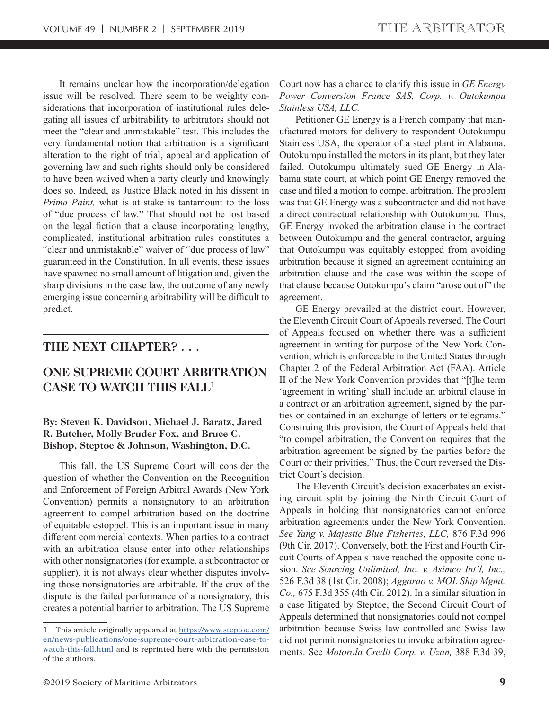It remains unclear how the incorporation/delegation issue will be resolved. There seem to be weighty considerations that incorporation of institutional rules delegating all issues of arbitrability to arbitrators should not meet the "clear and unmistakable" test. This includes the very fundamental notion that arbitration is a significant alteration to the right of trial, appeal and application of governing law and such rights should only be considered to have been waived when a party clearly and knowingly does so. Indeed, as Justice Black noted in his dissent in *Prima Paint,* what is at stake is tantamount to the loss of "due process of law." That should not be lost based on the legal fiction that a clause incorporating lengthy, complicated, institutional arbitration rules constitutes a "clear and unmistakable" waiver of "due process of law" guaranteed in the Constitution. In all events, these issues have spawned no small amount of litigation and, given the sharp divisions in the case law, the outcome of any newly emerging issue concerning arbitrability will be difficult to predict.

## **THE NEXT CHAPTER? . . .**

## **ONE SUPREME COURT ARBITRATION CASE TO WATCH THIS FALL1**

## **By: Steven K. Davidson, Michael J. Baratz, Jared R. Butcher, Molly Bruder Fox, and Bruce C. Bishop, Steptoe & Johnson, Washington, D.C.**

This fall, the US Supreme Court will consider the question of whether the Convention on the Recognition and Enforcement of Foreign Arbitral Awards (New York Convention) permits a nonsignatory to an arbitration agreement to compel arbitration based on the doctrine of equitable estoppel. This is an important issue in many different commercial contexts. When parties to a contract with an arbitration clause enter into other relationships with other nonsignatories (for example, a subcontractor or supplier), it is not always clear whether disputes involving those nonsignatories are arbitrable. If the crux of the dispute is the failed performance of a nonsignatory, this creates a potential barrier to arbitration. The US Supreme Court now has a chance to clarify this issue in *GE Energy Power Conversion France SAS, Corp. v. Outokumpu Stainless USA, LLC.*

Petitioner GE Energy is a French company that manufactured motors for delivery to respondent Outokumpu Stainless USA, the operator of a steel plant in Alabama. Outokumpu installed the motors in its plant, but they later failed. Outokumpu ultimately sued GE Energy in Alabama state court, at which point GE Energy removed the case and filed a motion to compel arbitration. The problem was that GE Energy was a subcontractor and did not have a direct contractual relationship with Outokumpu. Thus, GE Energy invoked the arbitration clause in the contract between Outokumpu and the general contractor, arguing that Outokumpu was equitably estopped from avoiding arbitration because it signed an agreement containing an arbitration clause and the case was within the scope of that clause because Outokumpu's claim "arose out of" the agreement.

GE Energy prevailed at the district court. However, the Eleventh Circuit Court of Appeals reversed. The Court of Appeals focused on whether there was a sufficient agreement in writing for purpose of the New York Convention, which is enforceable in the United States through Chapter 2 of the Federal Arbitration Act (FAA). Article II of the New York Convention provides that "[t]he term 'agreement in writing' shall include an arbitral clause in a contract or an arbitration agreement, signed by the parties or contained in an exchange of letters or telegrams." Construing this provision, the Court of Appeals held that "to compel arbitration, the Convention requires that the arbitration agreement be signed by the parties before the Court or their privities." Thus, the Court reversed the District Court's decision.

The Eleventh Circuit's decision exacerbates an existing circuit split by joining the Ninth Circuit Court of Appeals in holding that nonsignatories cannot enforce arbitration agreements under the New York Convention. *See Yang v. Majestic Blue Fisheries, LLC,* 876 F.3d 996 (9th Cir. 2017). Conversely, both the First and Fourth Circuit Courts of Appeals have reached the opposite conclusion. *See Sourcing Unlimited, Inc. v. Asimco Int'l, Inc.,*  526 F.3d 38 (1st Cir. 2008); *Aggarao v. MOL Ship Mgmt. Co.,* 675 F.3d 355 (4th Cir. 2012). In a similar situation in a case litigated by Steptoe, the Second Circuit Court of Appeals determined that nonsignatories could not compel arbitration because Swiss law controlled and Swiss law did not permit nonsignatories to invoke arbitration agreements. See *Motorola Credit Corp. v. Uzan,* 388 F.3d 39,

<sup>1</sup> This article originally appeared at https://www.steptoe.com/ en/news-publications/one-supreme-court-arbitration-case-towatch-this-fall.html and is reprinted here with the permission of the authors.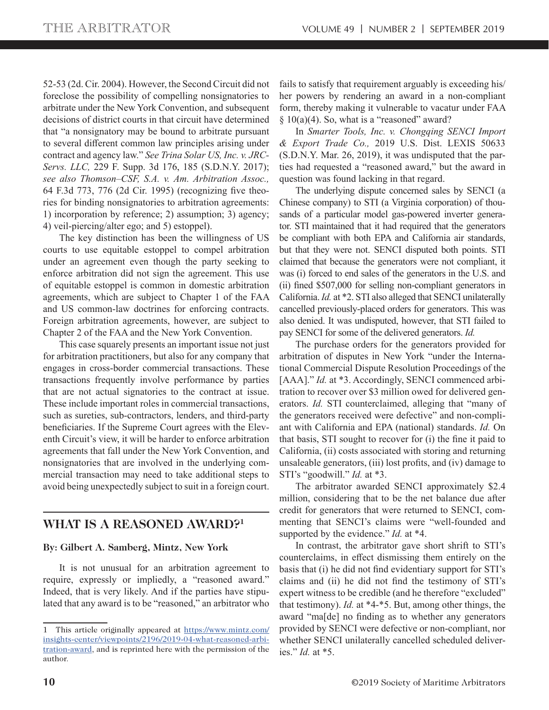52-53 (2d. Cir. 2004). However, the Second Circuit did not foreclose the possibility of compelling nonsignatories to arbitrate under the New York Convention, and subsequent decisions of district courts in that circuit have determined that "a nonsignatory may be bound to arbitrate pursuant to several different common law principles arising under contract and agency law." *See Trina Solar US, Inc. v. JRC-Servs. LLC,* 229 F. Supp. 3d 176, 185 (S.D.N.Y. 2017); *see also Thomson–CSF, S.A. v. Am. Arbitration Assoc.,*  64 F.3d 773, 776 (2d Cir. 1995) (recognizing five theories for binding nonsignatories to arbitration agreements: 1) incorporation by reference; 2) assumption; 3) agency; 4) veil-piercing/alter ego; and 5) estoppel).

The key distinction has been the willingness of US courts to use equitable estoppel to compel arbitration under an agreement even though the party seeking to enforce arbitration did not sign the agreement. This use of equitable estoppel is common in domestic arbitration agreements, which are subject to Chapter 1 of the FAA and US common-law doctrines for enforcing contracts. Foreign arbitration agreements, however, are subject to Chapter 2 of the FAA and the New York Convention.

This case squarely presents an important issue not just for arbitration practitioners, but also for any company that engages in cross-border commercial transactions. These transactions frequently involve performance by parties that are not actual signatories to the contract at issue. These include important roles in commercial transactions, such as sureties, sub-contractors, lenders, and third-party beneficiaries. If the Supreme Court agrees with the Eleventh Circuit's view, it will be harder to enforce arbitration agreements that fall under the New York Convention, and nonsignatories that are involved in the underlying commercial transaction may need to take additional steps to avoid being unexpectedly subject to suit in a foreign court.

## **WHAT IS A REASONED AWARD?1**

## **By: Gilbert A. Samberg, Mintz, New York**

It is not unusual for an arbitration agreement to require, expressly or impliedly, a "reasoned award." Indeed, that is very likely. And if the parties have stipulated that any award is to be "reasoned," an arbitrator who fails to satisfy that requirement arguably is exceeding his/ her powers by rendering an award in a non-compliant form, thereby making it vulnerable to vacatur under FAA  $§ 10(a)(4)$ . So, what is a "reasoned" award?

In *Smarter Tools, Inc. v. Chongqing SENCI Import & Export Trade Co.,* 2019 U.S. Dist. LEXIS 50633 (S.D.N.Y. Mar. 26, 2019), it was undisputed that the parties had requested a "reasoned award," but the award in question was found lacking in that regard.

The underlying dispute concerned sales by SENCI (a Chinese company) to STI (a Virginia corporation) of thousands of a particular model gas-powered inverter generator. STI maintained that it had required that the generators be compliant with both EPA and California air standards, but that they were not. SENCI disputed both points. STI claimed that because the generators were not compliant, it was (i) forced to end sales of the generators in the U.S. and (ii) fined \$507,000 for selling non-compliant generators in California. *Id.* at \*2. STI also alleged that SENCI unilaterally cancelled previously-placed orders for generators. This was also denied. It was undisputed, however, that STI failed to pay SENCI for some of the delivered generators. *Id.*

The purchase orders for the generators provided for arbitration of disputes in New York "under the International Commercial Dispute Resolution Proceedings of the [AAA]." *Id.* at \*3. Accordingly, SENCI commenced arbitration to recover over \$3 million owed for delivered generators. *Id.* STI counterclaimed, alleging that "many of the generators received were defective" and non-compliant with California and EPA (national) standards. *Id.* On that basis, STI sought to recover for (i) the fine it paid to California, (ii) costs associated with storing and returning unsaleable generators, (iii) lost profits, and (iv) damage to STI's "goodwill." *Id.* at \*3.

The arbitrator awarded SENCI approximately \$2.4 million, considering that to be the net balance due after credit for generators that were returned to SENCI, commenting that SENCI's claims were "well-founded and supported by the evidence." *Id.* at \*4.

In contrast, the arbitrator gave short shrift to STI's counterclaims, in effect dismissing them entirely on the basis that (i) he did not find evidentiary support for STI's claims and (ii) he did not find the testimony of STI's expert witness to be credible (and he therefore "excluded" that testimony). *Id.* at \*4-\*5. But, among other things, the award "ma[de] no finding as to whether any generators provided by SENCI were defective or non-compliant, nor whether SENCI unilaterally cancelled scheduled deliveries." *Id.* at \*5.

<sup>1</sup> This article originally appeared at https://www.mintz.com/ insights-center/viewpoints/2196/2019-04-what-reasoned-arbitration-award, and is reprinted here with the permission of the author.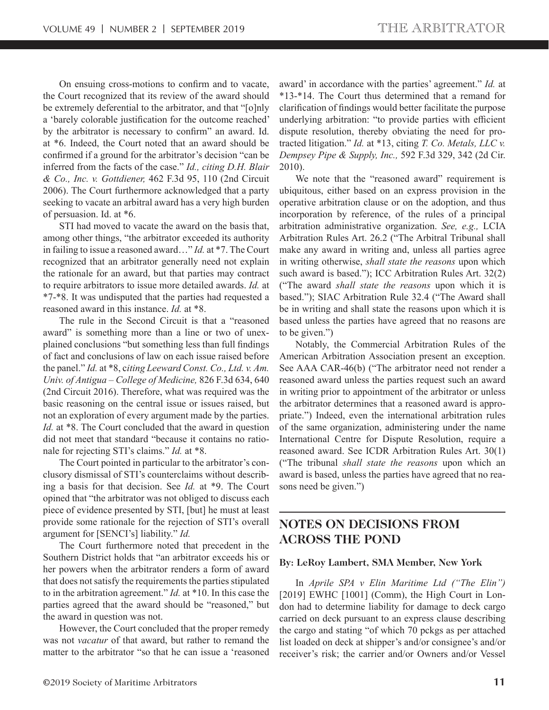On ensuing cross-motions to confirm and to vacate, the Court recognized that its review of the award should be extremely deferential to the arbitrator, and that "[o]nly a 'barely colorable justification for the outcome reached' by the arbitrator is necessary to confirm" an award. Id. at \*6. Indeed, the Court noted that an award should be confirmed if a ground for the arbitrator's decision "can be inferred from the facts of the case." *Id., citing D.H. Blair & Co., Inc. v. Gottdiener,* 462 F.3d 95, 110 (2nd Circuit 2006). The Court furthermore acknowledged that a party seeking to vacate an arbitral award has a very high burden of persuasion. Id. at \*6.

STI had moved to vacate the award on the basis that, among other things, "the arbitrator exceeded its authority in failing to issue a reasoned award…" *Id.* at \*7. The Court recognized that an arbitrator generally need not explain the rationale for an award, but that parties may contract to require arbitrators to issue more detailed awards. *Id.* at \*7-\*8. It was undisputed that the parties had requested a reasoned award in this instance. *Id.* at \*8.

The rule in the Second Circuit is that a "reasoned award" is something more than a line or two of unexplained conclusions "but something less than full findings of fact and conclusions of law on each issue raised before the panel." *Id.* at \*8, c*iting Leeward Const. Co., Ltd. v. Am. Univ. of Antigua – College of Medicine,* 826 F.3d 634, 640 (2nd Circuit 2016). Therefore, what was required was the basic reasoning on the central issue or issues raised, but not an exploration of every argument made by the parties. *Id.* at \*8. The Court concluded that the award in question did not meet that standard "because it contains no rationale for rejecting STI's claims." *Id.* at \*8.

The Court pointed in particular to the arbitrator's conclusory dismissal of STI's counterclaims without describing a basis for that decision. See *Id.* at \*9. The Court opined that "the arbitrator was not obliged to discuss each piece of evidence presented by STI, [but] he must at least provide some rationale for the rejection of STI's overall argument for [SENCI's] liability." *Id.*

The Court furthermore noted that precedent in the Southern District holds that "an arbitrator exceeds his or her powers when the arbitrator renders a form of award that does not satisfy the requirements the parties stipulated to in the arbitration agreement." *Id.* at \*10. In this case the parties agreed that the award should be "reasoned," but the award in question was not.

However, the Court concluded that the proper remedy was not *vacatur* of that award, but rather to remand the matter to the arbitrator "so that he can issue a 'reasoned award' in accordance with the parties' agreement." *Id.* at \*13-\*14. The Court thus determined that a remand for clarification of findings would better facilitate the purpose underlying arbitration: "to provide parties with efficient dispute resolution, thereby obviating the need for protracted litigation." *Id.* at \*13, citing *T. Co. Metals, LLC v. Dempsey Pipe & Supply, Inc.,* 592 F.3d 329, 342 (2d Cir. 2010).

We note that the "reasoned award" requirement is ubiquitous, either based on an express provision in the operative arbitration clause or on the adoption, and thus incorporation by reference, of the rules of a principal arbitration administrative organization. *See, e.g.,* LCIA Arbitration Rules Art. 26.2 ("The Arbitral Tribunal shall make any award in writing and, unless all parties agree in writing otherwise, *shall state the reasons* upon which such award is based."); ICC Arbitration Rules Art. 32(2) ("The award *shall state the reasons* upon which it is based."); SIAC Arbitration Rule 32.4 ("The Award shall be in writing and shall state the reasons upon which it is based unless the parties have agreed that no reasons are to be given.")

Notably, the Commercial Arbitration Rules of the American Arbitration Association present an exception. See AAA CAR-46(b) ("The arbitrator need not render a reasoned award unless the parties request such an award in writing prior to appointment of the arbitrator or unless the arbitrator determines that a reasoned award is appropriate.") Indeed, even the international arbitration rules of the same organization, administering under the name International Centre for Dispute Resolution, require a reasoned award. See ICDR Arbitration Rules Art. 30(1) ("The tribunal *shall state the reasons* upon which an award is based, unless the parties have agreed that no reasons need be given.")

## **NOTES ON DECISIONS FROM ACROSS THE POND**

#### **By: LeRoy Lambert, SMA Member, New York**

In *Aprile SPA v Elin Maritime Ltd ("The Elin")*  [2019] EWHC [1001] (Comm), the High Court in London had to determine liability for damage to deck cargo carried on deck pursuant to an express clause describing the cargo and stating "of which 70 pckgs as per attached list loaded on deck at shipper's and/or consignee's and/or receiver's risk; the carrier and/or Owners and/or Vessel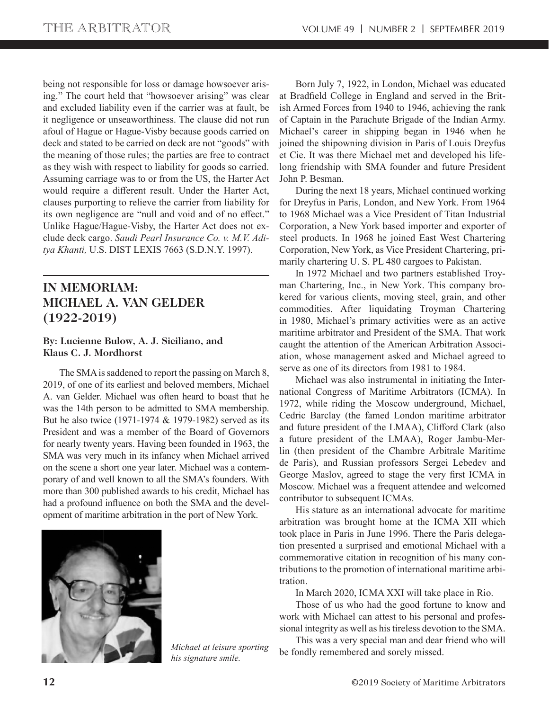being not responsible for loss or damage howsoever arising." The court held that "howsoever arising" was clear and excluded liability even if the carrier was at fault, be it negligence or unseaworthiness. The clause did not run afoul of Hague or Hague-Visby because goods carried on deck and stated to be carried on deck are not "goods" with the meaning of those rules; the parties are free to contract as they wish with respect to liability for goods so carried. Assuming carriage was to or from the US, the Harter Act would require a different result. Under the Harter Act, clauses purporting to relieve the carrier from liability for its own negligence are "null and void and of no effect." Unlike Hague/Hague-Visby, the Harter Act does not exclude deck cargo. *Saudi Pearl Insurance Co. v. M.V. Aditya Khanti,* U.S. DIST LEXIS 7663 (S.D.N.Y. 1997).

# **IN MEMORIAM: MICHAEL A. VAN GELDER (1922-2019)**

## **By: Lucienne Bulow, A. J. Siciliano, and Klaus C. J. Mordhorst**

The SMA is saddened to report the passing on March 8, 2019, of one of its earliest and beloved members, Michael A. van Gelder. Michael was often heard to boast that he was the 14th person to be admitted to SMA membership. But he also twice (1971-1974 & 1979-1982) served as its President and was a member of the Board of Governors for nearly twenty years. Having been founded in 1963, the SMA was very much in its infancy when Michael arrived on the scene a short one year later. Michael was a contemporary of and well known to all the SMA's founders. With more than 300 published awards to his credit, Michael has had a profound influence on both the SMA and the development of maritime arbitration in the port of New York.



*his signature smile.*

Born July 7, 1922, in London, Michael was educated at Bradfield College in England and served in the British Armed Forces from 1940 to 1946, achieving the rank of Captain in the Parachute Brigade of the Indian Army. Michael's career in shipping began in 1946 when he joined the shipowning division in Paris of Louis Dreyfus et Cie. It was there Michael met and developed his lifelong friendship with SMA founder and future President John P. Besman.

During the next 18 years, Michael continued working for Dreyfus in Paris, London, and New York. From 1964 to 1968 Michael was a Vice President of Titan Industrial Corporation, a New York based importer and exporter of steel products. In 1968 he joined East West Chartering Corporation, New York, as Vice President Chartering, primarily chartering U. S. PL 480 cargoes to Pakistan.

In 1972 Michael and two partners established Troyman Chartering, Inc., in New York. This company brokered for various clients, moving steel, grain, and other commodities. After liquidating Troyman Chartering in 1980, Michael's primary activities were as an active maritime arbitrator and President of the SMA. That work caught the attention of the American Arbitration Association, whose management asked and Michael agreed to serve as one of its directors from 1981 to 1984.

Michael was also instrumental in initiating the International Congress of Maritime Arbitrators (ICMA). In 1972, while riding the Moscow underground, Michael, Cedric Barclay (the famed London maritime arbitrator and future president of the LMAA), Clifford Clark (also a future president of the LMAA), Roger Jambu-Merlin (then president of the Chambre Arbitrale Maritime de Paris), and Russian professors Sergei Lebedev and George Maslov, agreed to stage the very first ICMA in Moscow. Michael was a frequent attendee and welcomed contributor to subsequent ICMAs.

His stature as an international advocate for maritime arbitration was brought home at the ICMA XII which took place in Paris in June 1996. There the Paris delegation presented a surprised and emotional Michael with a commemorative citation in recognition of his many contributions to the promotion of international maritime arbitration.

In March 2020, ICMA XXI will take place in Rio.

Those of us who had the good fortune to know and work with Michael can attest to his personal and professional integrity as well as his tireless devotion to the SMA.

This was a very special man and dear friend who will be fondly remembered and sorely missed. *Michael at leisure sporting*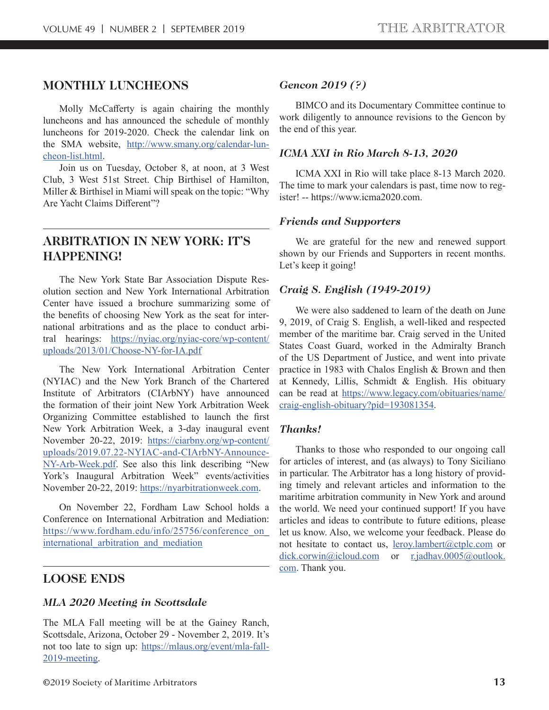## **MONTHLY LUNCHEONS**

Molly McCafferty is again chairing the monthly luncheons and has announced the schedule of monthly luncheons for 2019-2020. Check the calendar link on the SMA website, http://www.smany.org/calendar-luncheon-list.html.

Join us on Tuesday, October 8, at noon, at 3 West Club, 3 West 51st Street. Chip Birthisel of Hamilton, Miller & Birthisel in Miami will speak on the topic: "Why Are Yacht Claims Different"?

## **ARBITRATION IN NEW YORK: IT'S HAPPENING!**

The New York State Bar Association Dispute Resolution section and New York International Arbitration Center have issued a brochure summarizing some of the benefits of choosing New York as the seat for international arbitrations and as the place to conduct arbitral hearings: https://nyiac.org/nyiac-core/wp-content/ uploads/2013/01/Choose-NY-for-IA.pdf

The New York International Arbitration Center (NYIAC) and the New York Branch of the Chartered Institute of Arbitrators (CIArbNY) have announced the formation of their joint New York Arbitration Week Organizing Committee established to launch the first New York Arbitration Week, a 3-day inaugural event November 20-22, 2019: https://ciarbny.org/wp-content/ uploads/2019.07.22-NYIAC-and-CIArbNY-Announce-NY-Arb-Week.pdf. See also this link describing "New York's Inaugural Arbitration Week" events/activities November 20-22, 2019: https://nyarbitrationweek.com.

On November 22, Fordham Law School holds a Conference on International Arbitration and Mediation: https://www.fordham.edu/info/25756/conference\_on\_ international arbitration and mediation

## **LOOSE ENDS**

## *MLA 2020 Meeting in Scottsdale*

The MLA Fall meeting will be at the Gainey Ranch, Scottsdale, Arizona, October 29 - November 2, 2019. It's not too late to sign up: https://mlaus.org/event/mla-fall-2019-meeting.

## *Gencon 2019 (?)*

BIMCO and its Documentary Committee continue to work diligently to announce revisions to the Gencon by the end of this year.

## *ICMA XXI in Rio March 8-13, 2020*

ICMA XXI in Rio will take place 8-13 March 2020. The time to mark your calendars is past, time now to register! -- https://www.icma2020.com.

#### *Friends and Supporters*

We are grateful for the new and renewed support shown by our Friends and Supporters in recent months. Let's keep it going!

#### *Craig S. English (1949-2019)*

We were also saddened to learn of the death on June 9, 2019, of Craig S. English, a well-liked and respected member of the maritime bar. Craig served in the United States Coast Guard, worked in the Admiralty Branch of the US Department of Justice, and went into private practice in 1983 with Chalos English & Brown and then at Kennedy, Lillis, Schmidt & English. His obituary can be read at https://www.legacy.com/obituaries/name/ craig-english-obituary?pid=193081354.

#### *Thanks!*

Thanks to those who responded to our ongoing call for articles of interest, and (as always) to Tony Siciliano in particular. The Arbitrator has a long history of providing timely and relevant articles and information to the maritime arbitration community in New York and around the world. We need your continued support! If you have articles and ideas to contribute to future editions, please let us know. Also, we welcome your feedback. Please do not hesitate to contact us, leroy.lambert@ctplc.com or dick.corwin@icloud.com or r.jadhav.0005@outlook. com. Thank you.